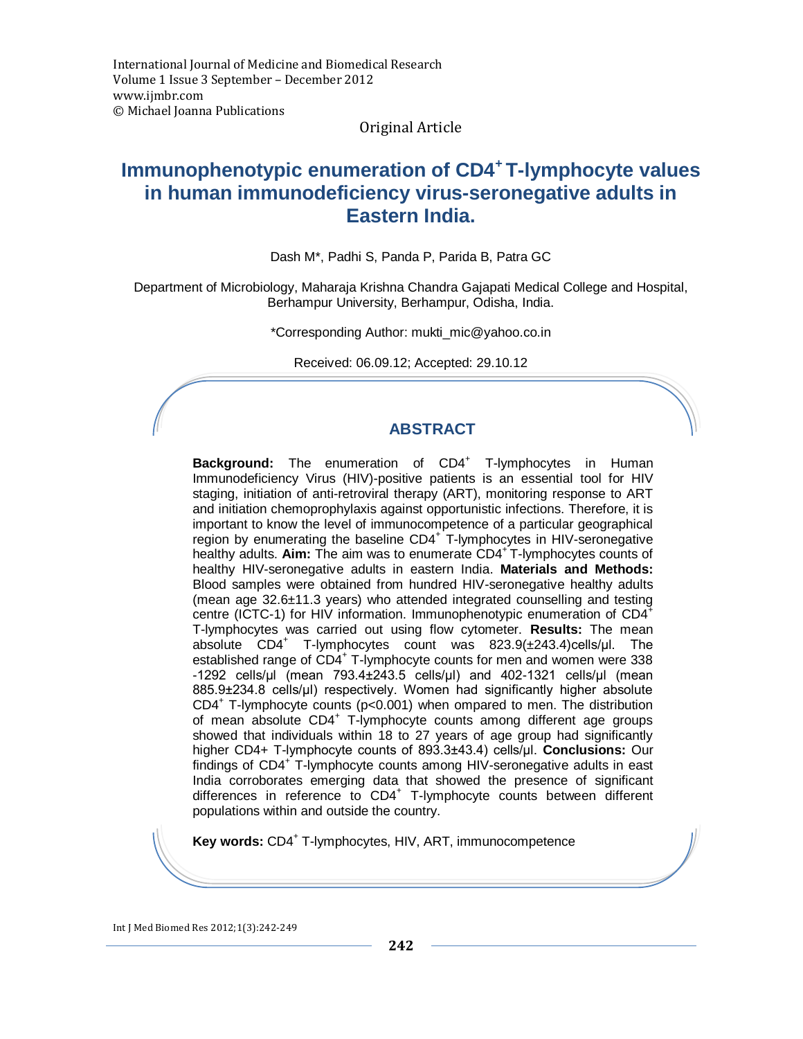Original Article

# **Immunophenotypic enumeration of CD4<sup>+</sup>T-lymphocyte values in human immunodeficiency virus-seronegative adults in Eastern India.**

Dash M\*, Padhi S, Panda P, Parida B, Patra GC

Department of Microbiology, Maharaja Krishna Chandra Gajapati Medical College and Hospital, Berhampur University, Berhampur, Odisha, India.

\*Corresponding Author: [mukti\\_mic@yahoo.co.in](file:///C:/Documents%20and%20Settings/Microbiology/My%20Documents/Downloads/mukti_mic@yahoo.co.in)

Received: 06.09.12; Accepted: 29.10.12

## **ABSTRACT**

Background: The enumeration of CD4<sup>+</sup> T-lymphocytes in Human Immunodeficiency Virus (HIV)-positive patients is an essential tool for HIV staging, initiation of anti-retroviral therapy (ART), monitoring response to ART and initiation chemoprophylaxis against opportunistic infections. Therefore, it is important to know the level of immunocompetence of a particular geographical region by enumerating the baseline CD4<sup>+</sup> T-lymphocytes in HIV-seronegative healthy adults. Aim: The aim was to enumerate CD4<sup>+</sup>T-lymphocytes counts of healthy HIV-seronegative adults in eastern India. **Materials and Methods:** Blood samples were obtained from hundred HIV-seronegative healthy adults (mean age 32.6±11.3 years) who attended integrated counselling and testing centre (ICTC-1) for HIV information. Immunophenotypic enumeration of CD4<sup>+</sup> T-lymphocytes was carried out using flow cytometer. **Results:** The mean absolute CD4<sup>+</sup> T-lymphocytes count was 823.9(±243.4)cells/μl. The established range of CD4<sup>+</sup> T-lymphocyte counts for men and women were 338 -1292 cells/μl (mean 793.4±243.5 cells/μl) and 402-1321 cells/μl (mean 885.9±234.8 cells/μl) respectively. Women had significantly higher absolute CD4<sup>+</sup> T-lymphocyte counts (p<0.001) when ompared to men. The distribution of mean absolute CD4<sup>+</sup> T-lymphocyte counts among different age groups showed that individuals within 18 to 27 years of age group had significantly higher CD4+ T-lymphocyte counts of 893.3±43.4) cells/μl. **Conclusions:** Our findings of CD4<sup>+</sup> T-lymphocyte counts among HIV-seronegative adults in east India corroborates emerging data that showed the presence of significant differences in reference to CD4<sup>+</sup> T-lymphocyte counts between different populations within and outside the country.

Key words: CD4<sup>+</sup> T-lymphocytes, HIV, ART, immunocompetence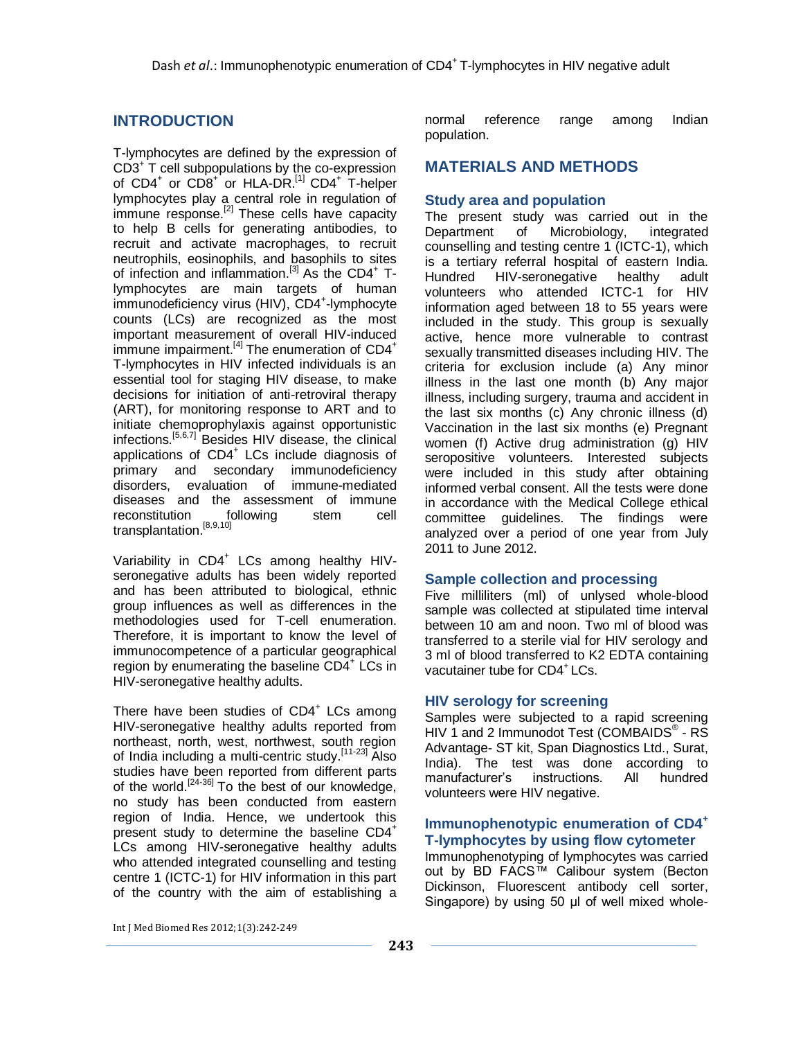## **INTRODUCTION**

T-lymphocytes are defined by the expression of CD3<sup>+</sup> T cell subpopulations by the co-expression of CD4<sup>+</sup> or CD8<sup>+</sup> or HLA-DR.<sup>[1]</sup> CD4<sup>+</sup> T-helper lymphocytes play a central role in regulation of immune response.<sup>[2]</sup> These cells have capacity to help B cells for generating antibodies, to recruit and activate macrophages, to recruit neutrophils, eosinophils, and basophils to sites of infection and inflammation.<sup>[3]</sup> As the CD4<sup>+</sup> Tlymphocytes are main targets of human immunodeficiency virus (HIV), CD4<sup>+</sup> -lymphocyte counts (LCs) are recognized as the most important measurement of overall HIV-induced immune impairment. $^{[4]}$  The enumeration of CD4<sup>+</sup> T-lymphocytes in HIV infected individuals is an essential tool for staging HIV disease, to make decisions for initiation of anti-retroviral therapy (ART), for monitoring response to ART and to initiate chemoprophylaxis against opportunistic infections. [5,6,7] Besides HIV disease, the clinical applications of CD4<sup>+</sup> LCs include diagnosis of primary and secondary immunodeficiency disorders, evaluation of immune-mediated diseases and the assessment of immune reconstitution following stem cell transplantation.<sup>[8,9,10]</sup>

Variability in CD4<sup>+</sup> LCs among healthy HIVseronegative adults has been widely reported and has been attributed to biological, ethnic group influences as well as differences in the methodologies used for T-cell enumeration. Therefore, it is important to know the level of immunocompetence of a particular geographical region by enumerating the baseline CD4<sup>+</sup> LCs in HIV-seronegative healthy adults.

There have been studies of CD4<sup>+</sup> LCs among HIV-seronegative healthy adults reported from northeast, north, west, northwest, south region of India including a multi-centric study.<sup>[11-23]</sup> Also studies have been reported from different parts of the world.<sup>[24-36]</sup> To the best of our knowledge, no study has been conducted from eastern region of India. Hence, we undertook this present study to determine the baseline CD4<sup>+</sup> LCs among HIV-seronegative healthy adults who attended integrated counselling and testing centre 1 (ICTC-1) for HIV information in this part of the country with the aim of establishing a

normal reference range among Indian population.

## **MATERIALS AND METHODS**

#### **Study area and population**

The present study was carried out in the Department of Microbiology, integrated counselling and testing centre 1 (ICTC-1), which is a tertiary referral hospital of eastern India. Hundred HIV-seronegative healthy adult volunteers who attended ICTC-1 for HIV information aged between 18 to 55 years were included in the study. This group is sexually active, hence more vulnerable to contrast sexually transmitted diseases including HIV. The criteria for exclusion include (a) Any minor illness in the last one month (b) Any major illness, including surgery, trauma and accident in the last six months (c) Any chronic illness (d) Vaccination in the last six months (e) Pregnant women (f) Active drug administration (g) HIV seropositive volunteers. Interested subjects were included in this study after obtaining informed verbal consent. All the tests were done in accordance with the Medical College ethical committee guidelines. The findings were analyzed over a period of one year from July 2011 to June 2012.

#### **Sample collection and processing**

Five milliliters (ml) of unlysed whole-blood sample was collected at stipulated time interval between 10 am and noon. Two ml of blood was transferred to a sterile vial for HIV serology and 3 ml of blood transferred to K2 EDTA containing vacutainer tube for CD4<sup>+</sup> LCs.

#### **HIV serology for screening**

Samples were subjected to a rapid screening HIV 1 and 2 Immunodot Test (COMBAIDS $^{\circ}$  - RS Advantage- ST kit, Span Diagnostics Ltd., Surat, India). The test was done according to manufacturer's instructions. All hundred volunteers were HIV negative.

#### **Immunophenotypic enumeration of CD4<sup>+</sup> T-lymphocytes by using flow cytometer**

Immunophenotyping of lymphocytes was carried out by BD FACS™ Calibour system (Becton Dickinson, Fluorescent antibody cell sorter, Singapore) by using 50 μl of well mixed whole-

Int J Med Biomed Res 2012;1(3):242-249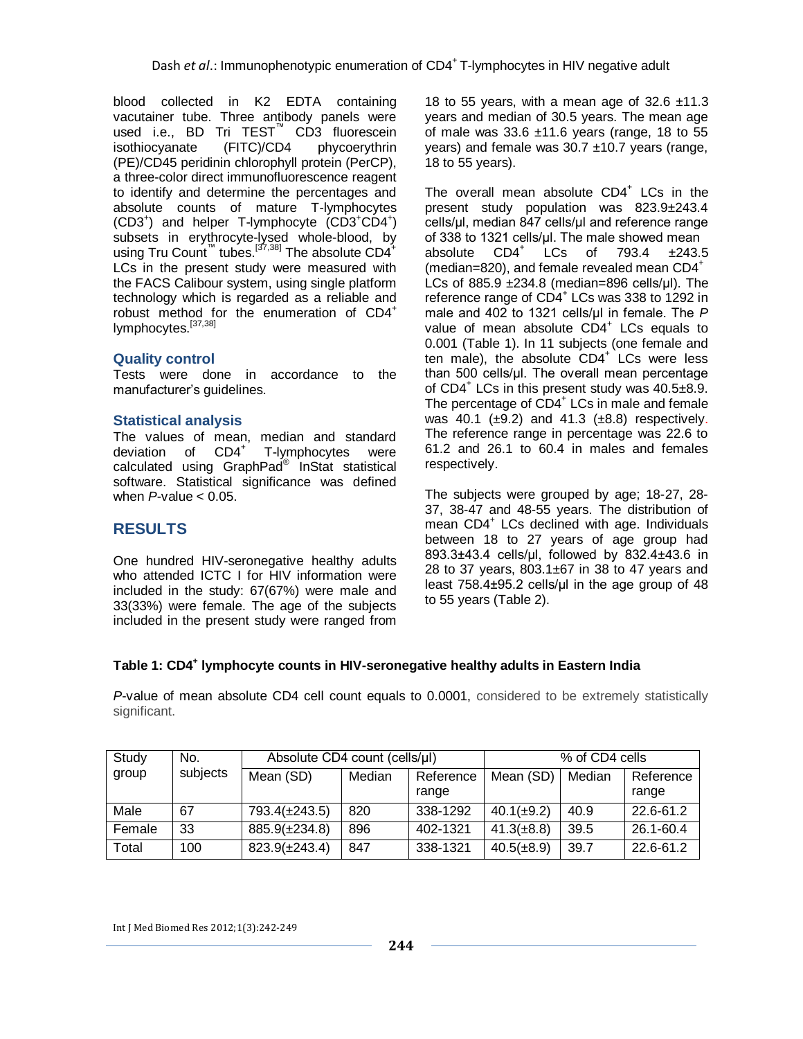blood collected in K2 EDTA containing vacutainer tube. Three antibody panels were used i.e., BD Tri TEST™ CD3 fluorescein isothiocyanate (FITC)/CD4 phycoerythrin (PE)/CD45 peridinin chlorophyll protein (PerCP), a three-color direct immunofluorescence reagent to identify and determine the percentages and absolute counts of mature T-lymphocytes  $(CD3^+)$  and helper T-lymphocyte  $(CD3^+CD4^+)$ subsets in erythrocyte-lysed whole-blood, by using Tru Count™ tubes.<sup>[37,38]</sup> The absolute CD4<sup>+</sup> LCs in the present study were measured with the FACS Calibour system, using single platform technology which is regarded as a reliable and robust method for the enumeration of CD4<sup>+</sup> lymphocytes.<sup>[37,38]</sup>

## **Quality control**

Tests were done in accordance to the manufacturer's guidelines.

## **Statistical analysis**

The values of mean, median and standard deviation of CD4<sup>+</sup> T-lymphocytes were calculated using GraphPad® InStat statistical software. Statistical significance was defined when  $P$ -value  $< 0.05$ .

# **RESULTS**

One hundred HIV-seronegative healthy adults who attended ICTC I for HIV information were included in the study: 67(67%) were male and 33(33%) were female. The age of the subjects included in the present study were ranged from 18 to 55 years, with a mean age of  $32.6 \pm 11.3$ years and median of 30.5 years. The mean age of male was  $33.6 \pm 11.6$  years (range, 18 to 55 years) and female was 30.7 ±10.7 years (range, 18 to 55 years).

The overall mean absolute CD4<sup>+</sup> LCs in the present study population was 823.9±243.4 cells/μl, median 847 cells/μl and reference range of 338 to 1321 cells/μl. The male showed mean absolute CD4<sup>+</sup> LCs of 793.4 ±243.5 (median=820), and female revealed mean  $CD4^+$ LCs of 885.9 ±234.8 (median=896 cells/μl). The reference range of CD4<sup>+</sup> LCs was 338 to 1292 in male and 402 to 1321 cells/μl in female. The *P* value of mean absolute  $CD4^+$  LCs equals to 0.001 (Table 1). In 11 subjects (one female and ten male), the absolute CD4<sup>+</sup> LCs were less than 500 cells/μl. The overall mean percentage of CD4<sup>+</sup> LCs in this present study was 40.5±8.9. The percentage of CD4<sup>+</sup> LCs in male and female was 40.1 ( $\pm$ 9.2) and 41.3 ( $\pm$ 8.8) respectively. The reference range in percentage was 22.6 to 61.2 and 26.1 to 60.4 in males and females respectively.

The subjects were grouped by age; 18-27, 28- 37, 38-47 and 48-55 years. The distribution of mean CD4<sup>+</sup> LCs declined with age. Individuals between 18 to 27 years of age group had 893.3±43.4 cells/µl, followed by 832.4±43.6 in 28 to 37 years, 803.1±67 in 38 to 47 years and least 758.4±95.2 cells/µl in the age group of 48 to 55 years (Table 2).

## **Table 1: CD4<sup>+</sup> lymphocyte counts in HIV-seronegative healthy adults in Eastern India**

*P*-value of mean absolute CD4 cell count equals to 0.0001, considered to be extremely statistically significant.

| Study  | No.      | Absolute CD4 count (cells/µl) |     |           | % of CD4 cells  |        |           |  |
|--------|----------|-------------------------------|-----|-----------|-----------------|--------|-----------|--|
| group  | subjects | Mean (SD)<br>Median           |     | Reference | Mean (SD)       | Median | Reference |  |
|        |          |                               |     | range     |                 |        | range     |  |
| Male   | 67       | $793.4(\pm 243.5)$            | 820 | 338-1292  | $40.1(\pm 9.2)$ | 40.9   | 22.6-61.2 |  |
| Female | 33       | $885.9(\pm 234.8)$            | 896 | 402-1321  | $41.3(\pm 8.8)$ | 39.5   | 26.1-60.4 |  |
| Total  | 100      | $823.9(\pm 243.4)$            | 847 | 338-1321  | $40.5(\pm 8.9)$ | 39.7   | 22.6-61.2 |  |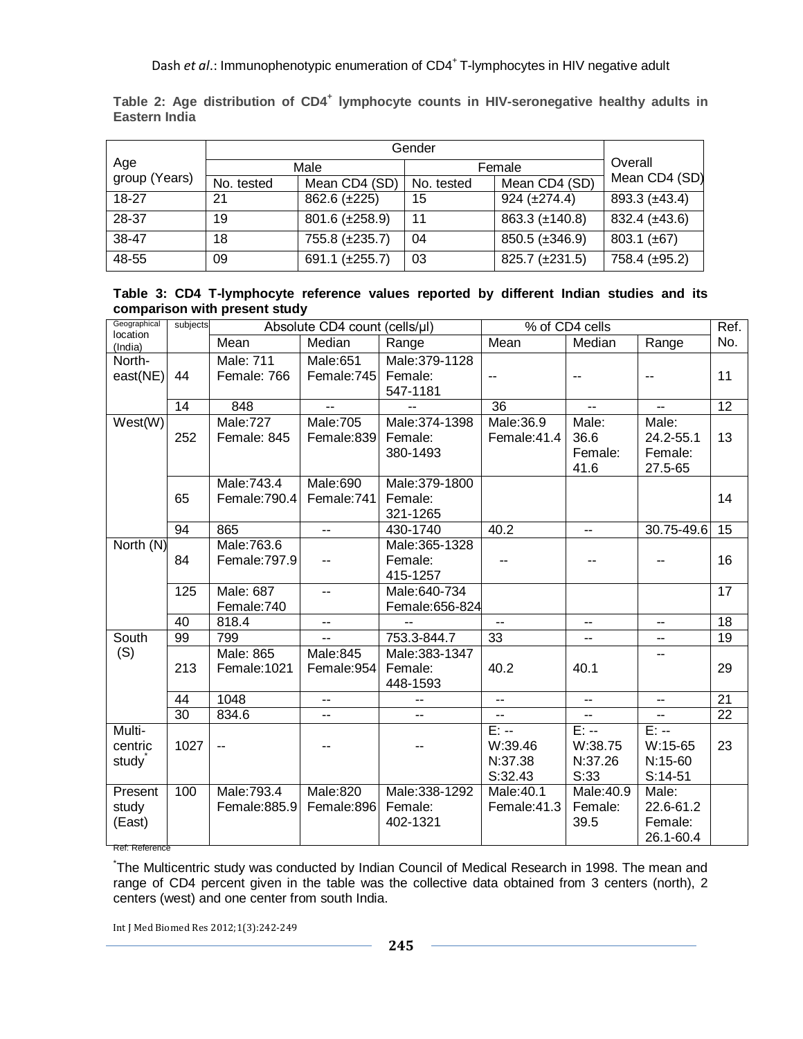Dash *et al.*: Immunophenotypic enumeration of CD4<sup>+</sup>T-lymphocytes in HIV negative adult

| Age           |            | Male                | Female     | Overall               |                    |
|---------------|------------|---------------------|------------|-----------------------|--------------------|
| group (Years) | No. tested | Mean CD4 (SD)       | No. tested | Mean CD4 (SD)         | Mean CD4 (SD)      |
| 18-27         | 21         | $862.6 (\pm 225)$   | 15         | $924 (+274.4)$        | 893.3 (±43.4)      |
| 28-37         | 19         | $801.6 (\pm 258.9)$ | 11         | $863.3 \ (\pm 140.8)$ | $832.4 (\pm 43.6)$ |
| 38-47         | 18         | 755.8 (±235.7)      | 04         | $850.5 (\pm 346.9)$   | $803.1 (\pm 67)$   |
| 48-55         | 09         | 691.1 (±255.7)      | 03         | 825.7 (±231.5)        | 758.4 (±95.2)      |

**Table 2: Age distribution of CD4<sup>+</sup> lymphocyte counts in HIV-seronegative healthy adults in Eastern India**

| Table 3: CD4 T-lymphocyte reference values reported by different Indian studies and its |  |  |  |  |  |
|-----------------------------------------------------------------------------------------|--|--|--|--|--|
| comparison with present study                                                           |  |  |  |  |  |

| Geographical<br>location                            | subjects | Absolute CD4 count (cells/µl)   |                               |                                       | % of CD4 cells                          |                                     |                                               | Ref.            |
|-----------------------------------------------------|----------|---------------------------------|-------------------------------|---------------------------------------|-----------------------------------------|-------------------------------------|-----------------------------------------------|-----------------|
| (India)                                             |          | Mean                            | Median                        | Range                                 | Mean                                    | Median                              | Range                                         | No.             |
| North-<br>east(NE)                                  | 44       | <b>Male: 711</b><br>Female: 766 | Male:651<br>Female: 745       | Male: 379-1128<br>Female:<br>547-1181 | --                                      |                                     |                                               | 11              |
|                                                     | 14       | 848                             | $- -$                         | $\overline{a}$                        | 36                                      | --                                  | н.                                            | 12              |
| West(W)                                             | 252      | <b>Male:727</b><br>Female: 845  | <b>Male:705</b><br>Female:839 | Male: 374-1398<br>Female:<br>380-1493 | Male: 36.9<br>Female: 41.4              | Male:<br>36.6<br>Female:<br>41.6    | Male:<br>24.2-55.1<br>Female:<br>27.5-65      | 13              |
|                                                     | 65       | Male: 743.4<br>Female: 790.4    | Male:690<br>Female: 741       | Male: 379-1800<br>Female:<br>321-1265 |                                         |                                     |                                               | 14              |
|                                                     | 94       | 865                             | $\overline{\phantom{a}}$      | 430-1740                              | 40.2                                    | н.                                  | 30.75-49.6                                    | 15              |
| North (N)                                           | 84       | Male:763.6<br>Female: 797.9     | --                            | Male: 365-1328<br>Female:<br>415-1257 |                                         |                                     |                                               | 16              |
|                                                     | 125      | Male: 687<br>Female: 740        | $-1$                          | Male:640-734<br>Female: 656-824       |                                         |                                     |                                               | 17              |
|                                                     | 40       | 818.4                           | --                            | $-$                                   | н.                                      | --                                  | --                                            | 18              |
| South                                               | 99       | 799                             | $\overline{a}$                | 753.3-844.7                           | 33                                      | --                                  | --                                            | 19              |
| (S)                                                 | 213      | Male: 865<br>Female: 1021       | Male:845<br>Female:954        | Male: 383-1347<br>Female:<br>448-1593 | 40.2                                    | 40.1                                |                                               | 29              |
|                                                     | 44       | 1048                            | --                            | --                                    | --                                      | --                                  | $\overline{\phantom{a}}$                      | 21              |
|                                                     | 30       | 834.6                           | $\overline{a}$                | -−                                    | $\overline{a}$                          | $\overline{a}$                      | $\overline{a}$                                | $\overline{22}$ |
| Multi-<br>centric<br>study                          | 1027     |                                 |                               |                                       | $E: -$<br>W:39.46<br>N:37.38<br>S:32.43 | $E =$<br>W:38.75<br>N:37.26<br>S:33 | $E: -$<br>$W:15-65$<br>$N:15-60$<br>$S:14-51$ | 23              |
| Present<br>study<br>(East)<br><b>Ref: Reference</b> | 100      | Male:793.4<br>Female: 885.9     | Male:820<br>Female:896        | Male: 338-1292<br>Female:<br>402-1321 | Male:40.1<br>Female: 41.3               | Male:40.9<br>Female:<br>39.5        | Male:<br>22.6-61.2<br>Female:<br>26.1-60.4    |                 |

\* The Multicentric study was conducted by Indian Council of Medical Research in 1998. The mean and range of CD4 percent given in the table was the collective data obtained from 3 centers (north), 2 centers (west) and one center from south India.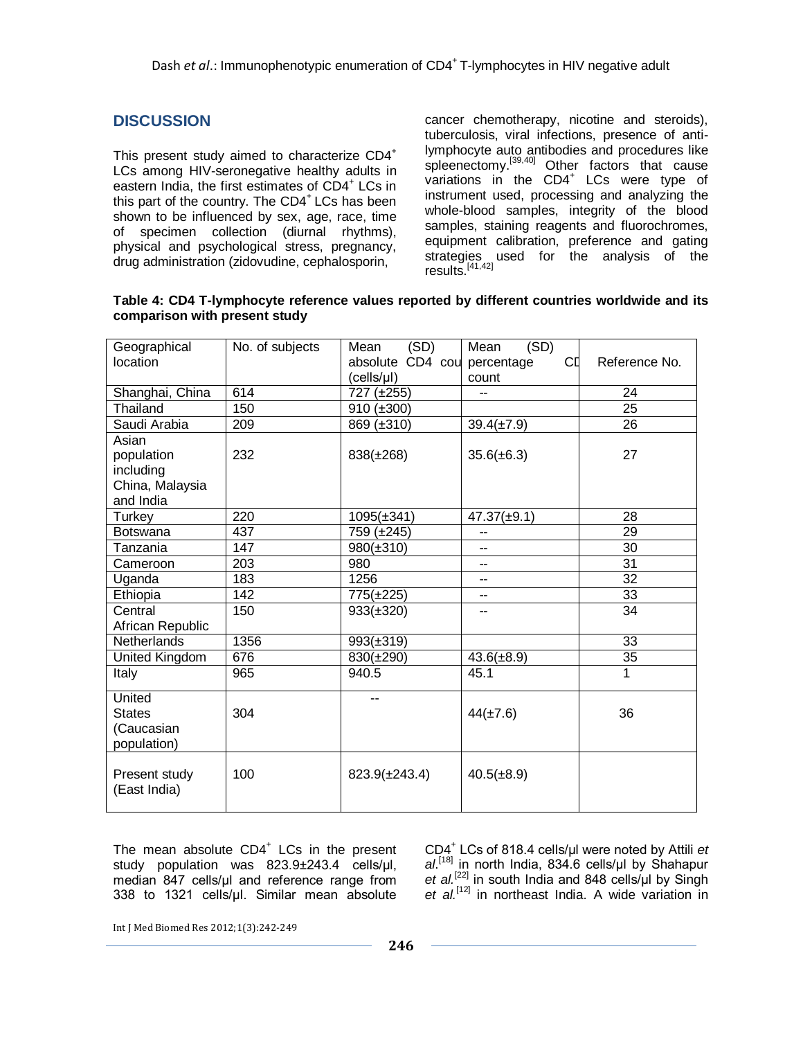# **DISCUSSION**

This present study aimed to characterize CD4<sup>+</sup> LCs among HIV-seronegative healthy adults in eastern India, the first estimates of CD4<sup>+</sup> LCs in this part of the country. The CD4<sup>+</sup> LCs has been shown to be influenced by sex, age, race, time of specimen collection (diurnal rhythms), physical and psychological stress, pregnancy, drug administration (zidovudine, cephalosporin,

cancer chemotherapy, nicotine and steroids), tuberculosis, viral infections, presence of antilymphocyte auto antibodies and procedures like spleenectomy.<sup>[39,40]</sup> Other factors that cause variations in the CD4<sup>+</sup> LCs were type of instrument used, processing and analyzing the whole-blood samples, integrity of the blood samples, staining reagents and fluorochromes, equipment calibration, preference and gating strategies used for the analysis of the results. [41,42]

| Table 4: CD4 T-lymphocyte reference values reported by different countries worldwide and its |  |  |  |
|----------------------------------------------------------------------------------------------|--|--|--|
| comparison with present study                                                                |  |  |  |

| Geographical     | No. of subjects     | (SD)<br>Mean    | Mean<br>(SD)     |               |
|------------------|---------------------|-----------------|------------------|---------------|
| location         | CD4 cou<br>absolute |                 | percentage<br>CП | Reference No. |
|                  |                     | (cells/µl)      | count            |               |
| Shanghai, China  | 614                 | 727 (±255)      | --               | 24            |
| Thailand         | 150                 | 910 $(\pm 300)$ |                  | 25            |
| Saudi Arabia     | 209                 | 869 (±310)      | $39.4(\pm 7.9)$  | 26            |
| Asian            |                     |                 |                  |               |
| population       | 232                 | $838(\pm 268)$  | $35.6(\pm 6.3)$  | 27            |
| including        |                     |                 |                  |               |
| China, Malaysia  |                     |                 |                  |               |
| and India        |                     |                 |                  |               |
| Turkey           | 220                 | $1095(\pm 341)$ | $47.37(\pm 9.1)$ | 28            |
| <b>Botswana</b>  | 437                 | 759 (±245)      | $-$              | 29            |
| Tanzania         | 147                 | $980(\pm 310)$  | $=$              | 30            |
| Cameroon         | 203                 | 980             | --               | 31            |
| Uganda           | 183                 | 1256            | --               | 32            |
| Ethiopia         | 142                 | 775(±225)       | --               | 33            |
| Central          | 150                 | $933(\pm 320)$  | --               | 34            |
| African Republic |                     |                 |                  |               |
| Netherlands      | 1356                | $993(\pm 319)$  |                  | 33            |
| United Kingdom   | 676                 | 830(±290)       | $43.6(\pm 8.9)$  | 35            |
| Italy            | 965                 | 940.5           | 45.1             | 1             |
| United           |                     |                 |                  |               |
| <b>States</b>    | 304                 |                 | $44(\pm 7.6)$    | 36            |
| (Caucasian       |                     |                 |                  |               |
| population)      |                     |                 |                  |               |
|                  |                     |                 |                  |               |
| Present study    | 100                 | 823.9(±243.4)   | $40.5(\pm 8.9)$  |               |
| (East India)     |                     |                 |                  |               |
|                  |                     |                 |                  |               |

The mean absolute CD4<sup>+</sup> LCs in the present study population was 823.9±243.4 cells/ul, median 847 cells/μl and reference range from 338 to 1321 cells/µl. Similar mean absolute

CD4<sup>+</sup> LCs of 818.4 cells/μl were noted by Attili *et al*. [18] in north India, 834.6 cells/μl by Shahapur *et al.*[22] in south India and 848 cells/μl by Singh *et al.*[12] in northeast India. A wide variation in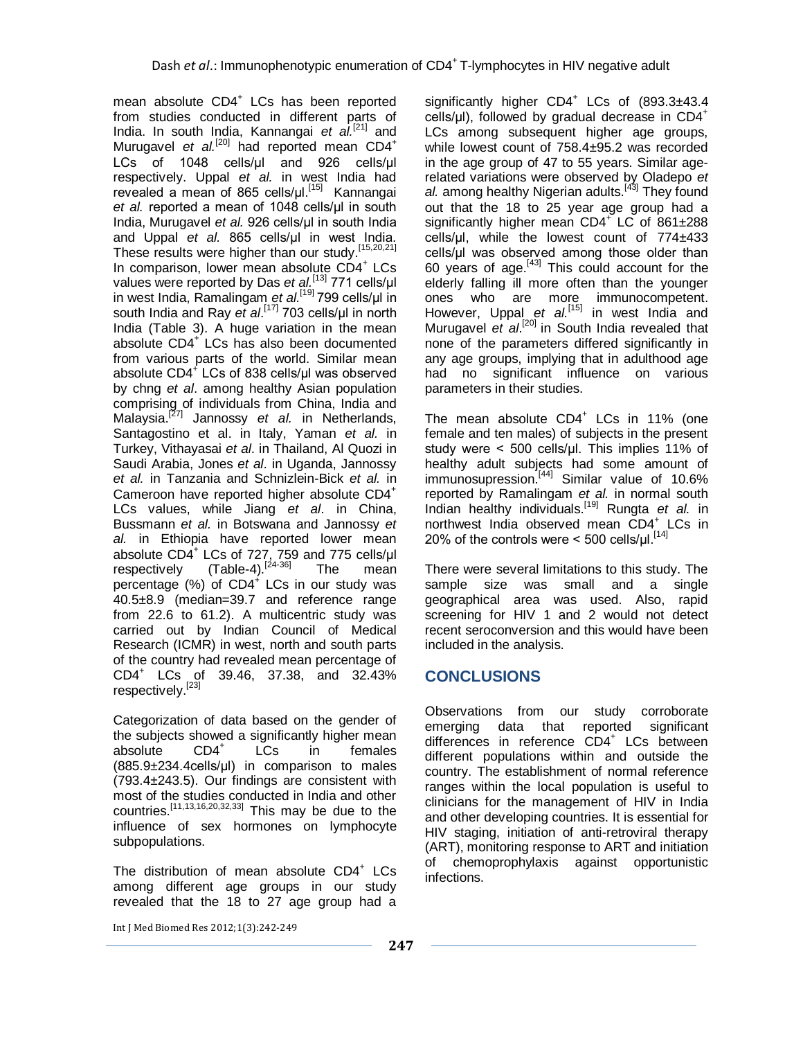mean absolute CD4<sup>+</sup> LCs has been reported from studies conducted in different parts of India. In south India, Kannangai *et al.*[21] and Murugavel et al.<sup>[20]</sup> had reported mean CD4<sup>+</sup> LCs of 1048 cells/ul and 926 cells/ul respectively. Uppal *et al.* in west India had revealed a mean of 865 cells/μl.<sup>[15]</sup> Kannangai *et al.* reported a mean of 1048 cells/μl in south India, Murugavel *et al.* 926 cells/μl in south India and Uppal *et al.* 865 cells/μl in west India. These results were higher than our study.<sup>[15,20,21]</sup> In comparison, lower mean absolute CD4<sup>+</sup> LCs values were reported by Das *et al.*<sup>[13]</sup> 771 cells/µl in west India, Ramalingam *et al.<sup>[19]</sup>* 799 cells/μl in south India and Ray *et al.*<sup>[17]</sup> 703 cells/μl in north India (Table 3). A huge variation in the mean absolute CD4<sup>+</sup> LCs has also been documented from various parts of the world. Similar mean absolute CD4<sup>+</sup> LCs of 838 cells/µl was observed by chng *et al*. among healthy Asian population comprising of individuals from China, India and Malaysia. [27] Jannossy *et al.* in Netherlands, Santagostino et al. in Italy, Yaman *et al.* in Turkey, Vithayasai *et al*. in Thailand, Al Quozi in Saudi Arabia, Jones *et al*. in Uganda, Jannossy *et al.* in Tanzania and Schnizlein-Bick *et al.* in Cameroon have reported higher absolute CD4<sup>+</sup> LCs values, while Jiang *et al*. in China, Bussmann *et al.* in Botswana and Jannossy *et al.* in Ethiopia have reported lower mean absolute CD4<sup>+</sup> LCs of 727, 759 and 775 cells/μl respectively (Table-4).<sup>[24-36]</sup> The mean percentage  $(\%)$  of CD4<sup> $+$ </sup> LCs in our study was 40.5±8.9 (median=39.7 and reference range from 22.6 to 61.2). A multicentric study was carried out by Indian Council of Medical Research (ICMR) in west, north and south parts of the country had revealed mean percentage of CD4<sup>+</sup> LCs of 39.46, 37.38, and 32.43% respectively.<sup>[23]</sup>

Categorization of data based on the gender of the subjects showed a significantly higher mean absolute CD4<sup>+</sup> LCs in females (885.9±234.4cells/μl) in comparison to males (793.4±243.5). Our findings are consistent with most of the studies conducted in India and other countries.  $[11, 13, 16, 20, 32, 33]$  This may be due to the influence of sex hormones on lymphocyte subpopulations.

The distribution of mean absolute CD4<sup>+</sup> LCs among different age groups in our study revealed that the 18 to 27 age group had a

significantly higher CD4<sup>+</sup> LCs of (893.3±43.4 cells/ul), followed by gradual decrease in CD4<sup>+</sup> LCs among subsequent higher age groups, while lowest count of 758.4±95.2 was recorded in the age group of 47 to 55 years. Similar agerelated variations were observed by Oladepo *et*  al. among healthy Nigerian adults.<sup>[43]</sup> They found out that the 18 to 25 year age group had a significantly higher mean CD4<sup>+</sup> LC of 861±288 cells/ul, while the lowest count of 774±433 cells/µl was observed among those older than 60 years of age.[43] This could account for the elderly falling ill more often than the younger ones who are more immunocompetent. However, Uppal *et al.*<sup>[15]</sup> in west India and Murugavel et al.<sup>[20]</sup> in South India revealed that none of the parameters differed significantly in any age groups, implying that in adulthood age had no significant influence on various parameters in their studies.

The mean absolute CD4<sup>+</sup> LCs in 11% (one female and ten males) of subjects in the present study were < 500 cells/μl. This implies 11% of healthy adult subjects had some amount of immunosupression.[44] Similar value of 10.6% reported by Ramalingam *et al.* in normal south Indian healthy individuals.[19] Rungta *et al.* in northwest India observed mean CD4<sup>+</sup> LCs in 20% of the controls were < 500 cells/ $\mu$ l.<sup>[14]</sup>

There were several limitations to this study. The sample size was small and a single geographical area was used. Also, rapid screening for HIV 1 and 2 would not detect recent seroconversion and this would have been included in the analysis.

# **CONCLUSIONS**

Observations from our study corroborate emerging data that reported significant differences in reference CD4<sup>+</sup> LCs between different populations within and outside the country. The establishment of normal reference ranges within the local population is useful to clinicians for the management of HIV in India and other developing countries. It is essential for HIV staging, initiation of anti-retroviral therapy (ART), monitoring response to ART and initiation of chemoprophylaxis against opportunistic infections.

Int J Med Biomed Res 2012;1(3):242-249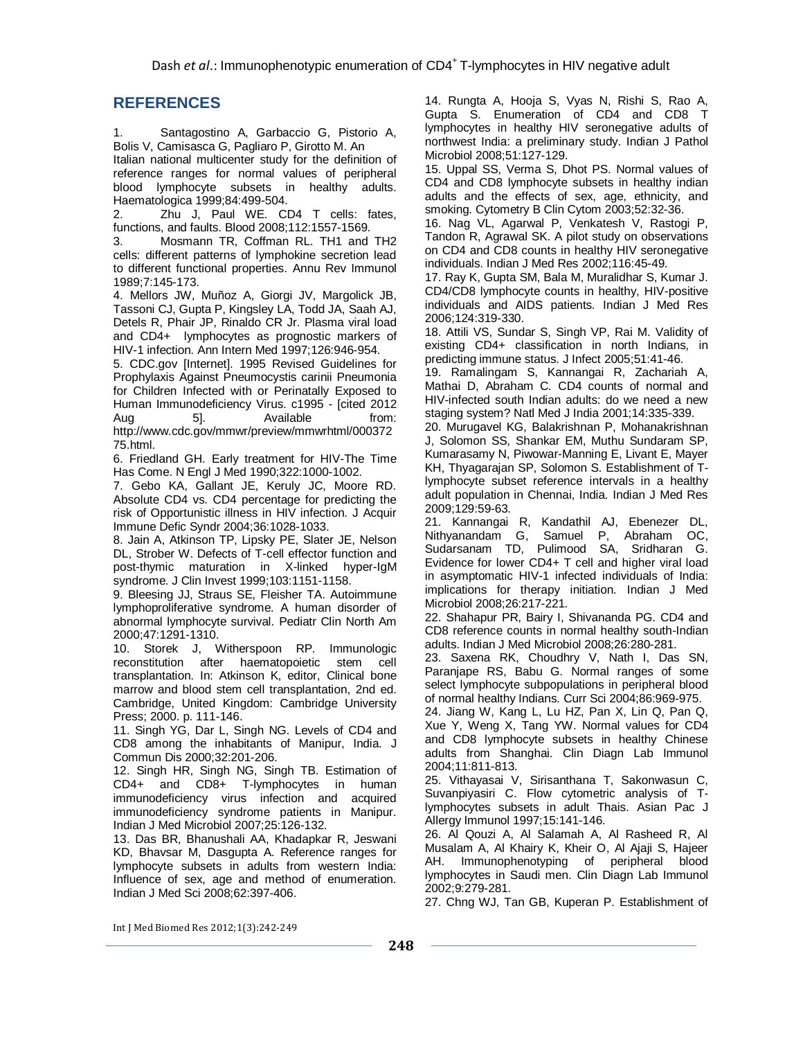## **REFERENCES**

1. Santagostino A, Garbaccio G, Pistorio A, Bolis V, Camisasca G, Pagliaro P, Girotto M. An

Italian national multicenter study for the definition of reference ranges for normal values of peripheral blood lymphocyte subsets in healthy adults. Haematologica 1999;84:499-504.

2. Zhu J, Paul WE. CD4 T cells: fates, functions, and faults. Blood 2008;112:1557-1569.

3. Mosmann TR, Coffman RL. TH1 and TH2 cells: different patterns of lymphokine secretion lead to different functional properties. Annu Rev Immunol 1989;7:145-173.

4. Mellors JW, Muñoz A, Giorgi JV, Margolick JB, Tassoni CJ, Gupta P, Kingsley LA, Todd JA, Saah AJ, Detels R, Phair JP, Rinaldo CR Jr. Plasma viral load and CD4+ lymphocytes as prognostic markers of HIV-1 infection. Ann Intern Med 1997;126:946-954.

5. CDC.gov [Internet]. 1995 Revised Guidelines for Prophylaxis Against Pneumocystis carinii Pneumonia for Children Infected with or Perinatally Exposed to Human Immunodeficiency Virus. c1995 - [cited 2012 Aug 5]. Available from: [http://www.cdc.gov/mmwr/preview/mmwrhtml/000372](http://www.cdc.gov/mmwr/preview/mmwrhtml/00037275.html.) [75.html.](http://www.cdc.gov/mmwr/preview/mmwrhtml/00037275.html.)

6. Friedland GH. Early treatment for HIV-The Time Has Come. N Engl J Med 1990;322:1000-1002.

7. Gebo KA, Gallant JE, Keruly JC, Moore RD. Absolute CD4 vs. CD4 percentage for predicting the risk of Opportunistic illness in HIV infection. J Acquir Immune Defic Syndr 2004;36:1028-1033.

8. Jain A, Atkinson TP, Lipsky PE, Slater JE, Nelson DL, Strober W. Defects of T-cell effector function and post-thymic maturation in X-linked hyper-IgM syndrome. J Clin Invest 1999;103:1151-1158.

9. Bleesing JJ, Straus SE, Fleisher TA. Autoimmune lymphoproliferative syndrome. A human disorder of abnormal lymphocyte survival. Pediatr Clin North Am 2000;47:1291-1310.

10. Storek J, Witherspoon RP. Immunologic reconstitution after haematopoietic stem cell transplantation. In: Atkinson K, editor, Clinical bone marrow and blood stem cell transplantation, 2nd ed. Cambridge, United Kingdom: Cambridge University Press; 2000. p. 111-146.

11. Singh YG, Dar L, Singh NG. Levels of CD4 and CD8 among the inhabitants of Manipur, India. J Commun Dis 2000;32:201-206.

12. Singh HR, Singh NG, Singh TB. Estimation of CD4+ and CD8+ T-lymphocytes in human immunodeficiency virus infection and acquired immunodeficiency syndrome patients in Manipur. Indian J Med Microbiol 2007;25:126-132.

13. Das BR, Bhanushali AA, Khadapkar R, Jeswani KD, Bhavsar M, Dasgupta A. Reference ranges for lymphocyte subsets in adults from western India: Influence of sex, age and method of enumeration. Indian J Med Sci 2008;62:397-406.

14. Rungta A, Hooja S, Vyas N, Rishi S, Rao A, Gupta S. Enumeration of CD4 and CD8 T lymphocytes in healthy HIV seronegative adults of northwest India: a preliminary study. Indian J Pathol Microbiol 2008;51:127-129.

15. Uppal SS, Verma S, Dhot PS. Normal values of CD4 and CD8 lymphocyte subsets in healthy indian adults and the effects of sex, age, ethnicity, and smoking. Cytometry B Clin Cytom 2003;52:32-36.

16. Nag VL, Agarwal P, Venkatesh V, Rastogi P, Tandon R, Agrawal SK. A pilot study on observations on CD4 and CD8 counts in healthy HIV seronegative individuals. Indian J Med Res 2002;116:45-49.

17. Ray K, Gupta SM, Bala M, Muralidhar S, Kumar J. CD4/CD8 lymphocyte counts in healthy, HIV-positive individuals and AIDS patients*.* Indian J Med Res 2006;124:319-330.

18. Attili VS, Sundar S, Singh VP, Rai M. Validity of existing CD4+ classification in north Indians, in predicting immune status. J Infect 2005;51:41-46.

19. Ramalingam S, Kannangai R, Zachariah A, Mathai D, Abraham C. CD4 counts of normal and HIV-infected south Indian adults: do we need a new staging system? Natl Med J India 2001;14:335-339.

20. Murugavel KG, Balakrishnan P, Mohanakrishnan J, Solomon SS, Shankar EM, Muthu Sundaram SP, Kumarasamy N, Piwowar-Manning E, Livant E, Mayer KH, Thyagarajan SP, Solomon S. Establishment of Tlymphocyte subset reference intervals in a healthy adult population in Chennai, India. Indian J Med Res 2009;129:59-63.

21. Kannangai R, Kandathil AJ, Ebenezer DL, Nithyanandam G, Samuel P, Abraham OC, Sudarsanam TD, Pulimood SA, Sridharan G. Evidence for lower CD4+ T cell and higher viral load in asymptomatic HIV-1 infected individuals of India: implications for therapy initiation. Indian J Med Microbiol 2008;26:217-221.

22. Shahapur PR, Bairy I, Shivananda PG. CD4 and CD8 reference counts in normal healthy south-Indian adults. Indian J Med Microbiol 2008;26:280-281.

23. Saxena RK, Choudhry V, Nath I, Das SN, Paranjape RS, Babu G. Normal ranges of some select lymphocyte subpopulations in peripheral blood of normal healthy Indians. Curr Sci 2004;86:969-975.

24. Jiang W, Kang L, Lu HZ, Pan X, Lin Q, Pan Q, Xue Y, Weng X, Tang YW. Normal values for CD4 and CD8 lymphocyte subsets in healthy Chinese adults from Shanghai. Clin Diagn Lab Immunol 2004;11:811-813.

25. Vithayasai V, Sirisanthana T, Sakonwasun C, Suvanpiyasiri C. Flow cytometric analysis of Tlymphocytes subsets in adult Thais. Asian Pac J Allergy Immunol 1997;15:141-146.

26. Al Qouzi A, Al Salamah A, Al Rasheed R, Al Musalam A, Al Khairy K, Kheir O, Al Ajaji S, Hajeer AH. Immunophenotyping of peripheral blood lymphocytes in Saudi men. Clin Diagn Lab Immunol 2002;9:279-281.

27. Chng WJ, Tan GB, Kuperan P. Establishment of